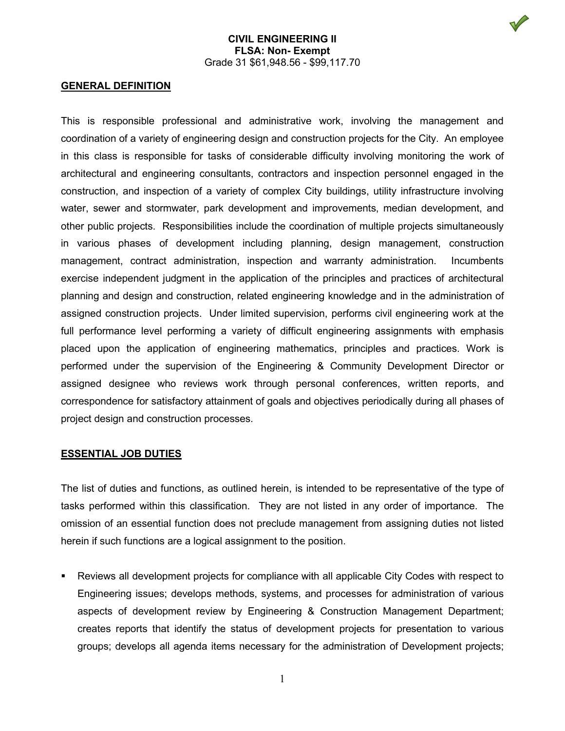#### **GENERAL DEFINITION**

This is responsible professional and administrative work, involving the management and coordination of a variety of engineering design and construction projects for the City. An employee in this class is responsible for tasks of considerable difficulty involving monitoring the work of architectural and engineering consultants, contractors and inspection personnel engaged in the construction, and inspection of a variety of complex City buildings, utility infrastructure involving water, sewer and stormwater, park development and improvements, median development, and other public projects. Responsibilities include the coordination of multiple projects simultaneously in various phases of development including planning, design management, construction management, contract administration, inspection and warranty administration. Incumbents exercise independent judgment in the application of the principles and practices of architectural planning and design and construction, related engineering knowledge and in the administration of assigned construction projects. Under limited supervision, performs civil engineering work at the full performance level performing a variety of difficult engineering assignments with emphasis placed upon the application of engineering mathematics, principles and practices. Work is performed under the supervision of the Engineering & Community Development Director or assigned designee who reviews work through personal conferences, written reports, and correspondence for satisfactory attainment of goals and objectives periodically during all phases of project design and construction processes.

#### **ESSENTIAL JOB DUTIES**

The list of duties and functions, as outlined herein, is intended to be representative of the type of tasks performed within this classification. They are not listed in any order of importance. The omission of an essential function does not preclude management from assigning duties not listed herein if such functions are a logical assignment to the position.

 Reviews all development projects for compliance with all applicable City Codes with respect to Engineering issues; develops methods, systems, and processes for administration of various aspects of development review by Engineering & Construction Management Department; creates reports that identify the status of development projects for presentation to various groups; develops all agenda items necessary for the administration of Development projects;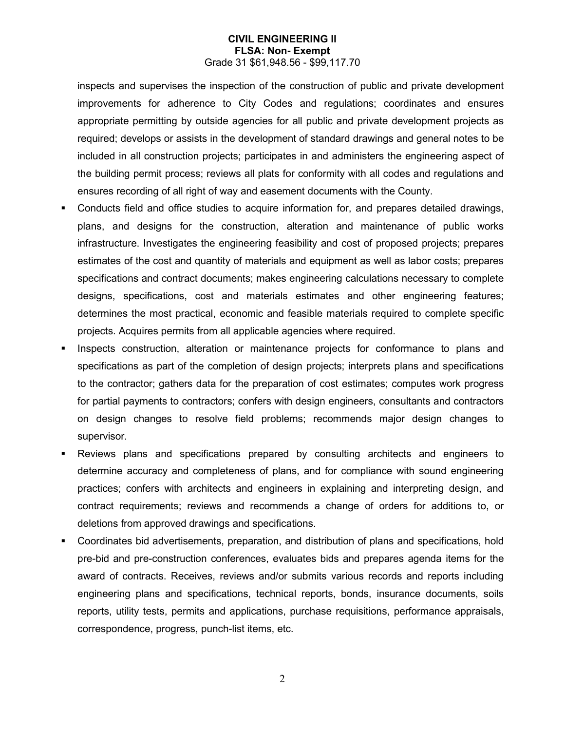inspects and supervises the inspection of the construction of public and private development improvements for adherence to City Codes and regulations; coordinates and ensures appropriate permitting by outside agencies for all public and private development projects as required; develops or assists in the development of standard drawings and general notes to be included in all construction projects; participates in and administers the engineering aspect of the building permit process; reviews all plats for conformity with all codes and regulations and ensures recording of all right of way and easement documents with the County.

- Conducts field and office studies to acquire information for, and prepares detailed drawings, plans, and designs for the construction, alteration and maintenance of public works infrastructure. Investigates the engineering feasibility and cost of proposed projects; prepares estimates of the cost and quantity of materials and equipment as well as labor costs; prepares specifications and contract documents; makes engineering calculations necessary to complete designs, specifications, cost and materials estimates and other engineering features; determines the most practical, economic and feasible materials required to complete specific projects. Acquires permits from all applicable agencies where required.
- Inspects construction, alteration or maintenance projects for conformance to plans and specifications as part of the completion of design projects; interprets plans and specifications to the contractor; gathers data for the preparation of cost estimates; computes work progress for partial payments to contractors; confers with design engineers, consultants and contractors on design changes to resolve field problems; recommends major design changes to supervisor.
- Reviews plans and specifications prepared by consulting architects and engineers to determine accuracy and completeness of plans, and for compliance with sound engineering practices; confers with architects and engineers in explaining and interpreting design, and contract requirements; reviews and recommends a change of orders for additions to, or deletions from approved drawings and specifications.
- Coordinates bid advertisements, preparation, and distribution of plans and specifications, hold pre-bid and pre-construction conferences, evaluates bids and prepares agenda items for the award of contracts. Receives, reviews and/or submits various records and reports including engineering plans and specifications, technical reports, bonds, insurance documents, soils reports, utility tests, permits and applications, purchase requisitions, performance appraisals, correspondence, progress, punch-list items, etc.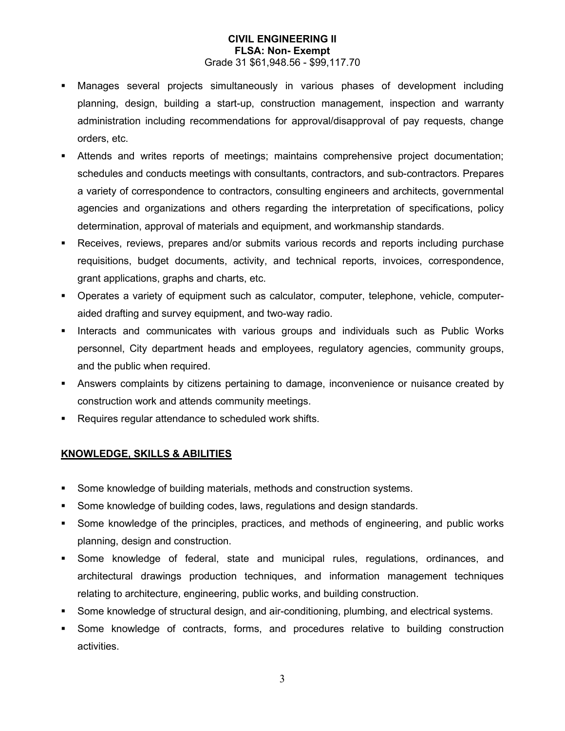- Manages several projects simultaneously in various phases of development including planning, design, building a start-up, construction management, inspection and warranty administration including recommendations for approval/disapproval of pay requests, change orders, etc.
- Attends and writes reports of meetings; maintains comprehensive project documentation; schedules and conducts meetings with consultants, contractors, and sub-contractors. Prepares a variety of correspondence to contractors, consulting engineers and architects, governmental agencies and organizations and others regarding the interpretation of specifications, policy determination, approval of materials and equipment, and workmanship standards.
- Receives, reviews, prepares and/or submits various records and reports including purchase requisitions, budget documents, activity, and technical reports, invoices, correspondence, grant applications, graphs and charts, etc.
- Operates a variety of equipment such as calculator, computer, telephone, vehicle, computeraided drafting and survey equipment, and two-way radio.
- **Interacts and communicates with various groups and individuals such as Public Works** personnel, City department heads and employees, regulatory agencies, community groups, and the public when required.
- Answers complaints by citizens pertaining to damage, inconvenience or nuisance created by construction work and attends community meetings.
- **Requires regular attendance to scheduled work shifts.**

# **KNOWLEDGE, SKILLS & ABILITIES**

- Some knowledge of building materials, methods and construction systems.
- Some knowledge of building codes, laws, regulations and design standards.
- Some knowledge of the principles, practices, and methods of engineering, and public works planning, design and construction.
- Some knowledge of federal, state and municipal rules, regulations, ordinances, and architectural drawings production techniques, and information management techniques relating to architecture, engineering, public works, and building construction.
- Some knowledge of structural design, and air-conditioning, plumbing, and electrical systems.
- Some knowledge of contracts, forms, and procedures relative to building construction activities.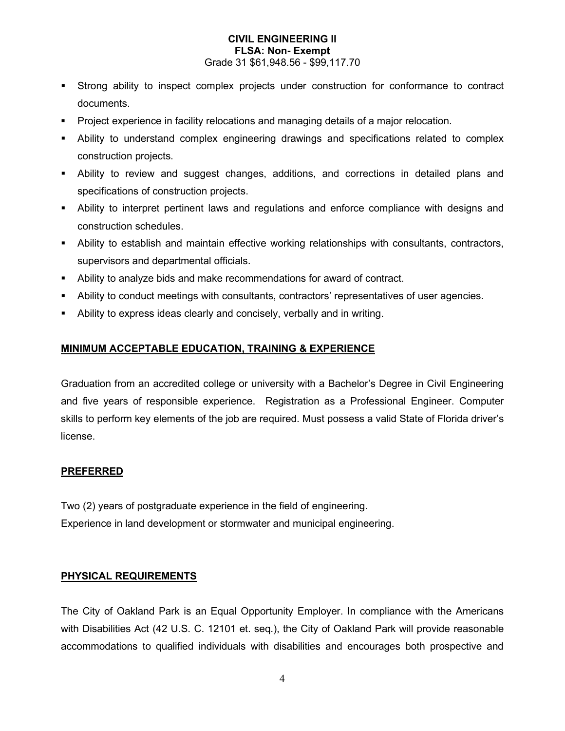- Strong ability to inspect complex projects under construction for conformance to contract documents.
- **Project experience in facility relocations and managing details of a major relocation.**
- Ability to understand complex engineering drawings and specifications related to complex construction projects.
- Ability to review and suggest changes, additions, and corrections in detailed plans and specifications of construction projects.
- Ability to interpret pertinent laws and regulations and enforce compliance with designs and construction schedules.
- Ability to establish and maintain effective working relationships with consultants, contractors, supervisors and departmental officials.
- Ability to analyze bids and make recommendations for award of contract.
- Ability to conduct meetings with consultants, contractors' representatives of user agencies.
- Ability to express ideas clearly and concisely, verbally and in writing.

# **MINIMUM ACCEPTABLE EDUCATION, TRAINING & EXPERIENCE**

Graduation from an accredited college or university with a Bachelor's Degree in Civil Engineering and five years of responsible experience. Registration as a Professional Engineer. Computer skills to perform key elements of the job are required. Must possess a valid State of Florida driver's license.

## **PREFERRED**

Two (2) years of postgraduate experience in the field of engineering. Experience in land development or stormwater and municipal engineering.

## **PHYSICAL REQUIREMENTS**

The City of Oakland Park is an Equal Opportunity Employer. In compliance with the Americans with Disabilities Act (42 U.S. C. 12101 et. seq.), the City of Oakland Park will provide reasonable accommodations to qualified individuals with disabilities and encourages both prospective and